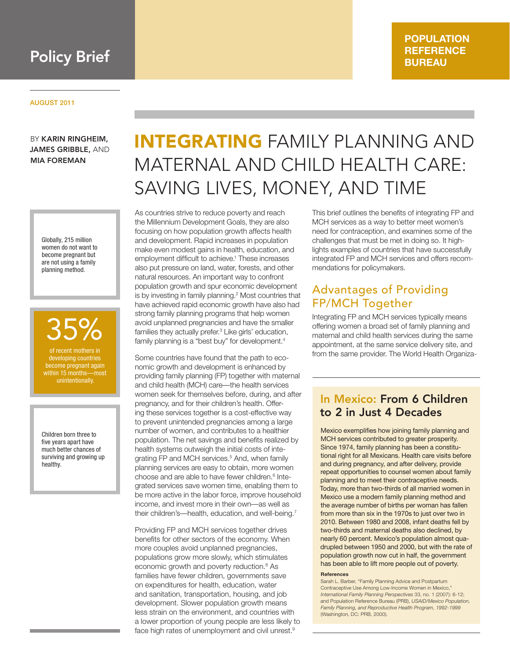

### **POPULATION REFERENCE BUREAU**

#### AUGUST 2011

BY KARIN RINGHEIM, JAMES GRIBBLE, AND MIA FOREMAN

> Globally, 215 million women do not want to become pregnant but are not using a family planning method.

of recent mothers in 35%

developing countries become pregnant again within 15 months—most with the matrices.

Children born three to five years apart have much better chances of surviving and growing up healthy.

# INTEGRATING FAMILY PLANNING AND MATERNAL AND CHILD HEALTH CARE: SAVING LIVES, MONEY, AND TIME

As countries strive to reduce poverty and reach the Millennium Development Goals, they are also focusing on how population growth affects health and development. Rapid increases in population make even modest gains in health, education, and employment difficult to achieve.<sup>1</sup> These increases also put pressure on land, water, forests, and other natural resources. An important way to confront population growth and spur economic development is by investing in family planning.<sup>2</sup> Most countries that have achieved rapid economic growth have also had strong family planning programs that help women avoid unplanned pregnancies and have the smaller families they actually prefer.<sup>3</sup> Like girls' education, family planning is a "best buy" for development.<sup>4</sup>

Some countries have found that the path to economic growth and development is enhanced by providing family planning (FP) together with maternal and child health (MCH) care—the health services women seek for themselves before, during, and after pregnancy, and for their children's health. Offering these services together is a cost-effective way to prevent unintended pregnancies among a large number of women, and contributes to a healthier population. The net savings and benefits realized by health systems outweigh the initial costs of integrating FP and MCH services.<sup>5</sup> And, when family planning services are easy to obtain, more women choose and are able to have fewer children.<sup>6</sup> Integrated services save women time, enabling them to be more active in the labor force, improve household income, and invest more in their own—as well as their children's—health, education, and well-being.<sup>7</sup>

Providing FP and MCH services together drives benefits for other sectors of the economy. When more couples avoid unplanned pregnancies, populations grow more slowly, which stimulates economic growth and poverty reduction.<sup>8</sup> As families have fewer children, governments save on expenditures for health, education, water and sanitation, transportation, housing, and job development. Slower population growth means less strain on the environment, and countries with a lower proportion of young people are less likely to face high rates of unemployment and civil unrest.<sup>9</sup>

This brief outlines the benefits of integrating FP and MCH services as a way to better meet women's need for contraception, and examines some of the challenges that must be met in doing so. It highlights examples of countries that have successfully integrated FP and MCH services and offers recommendations for policymakers.

### Advantages of Providing FP/MCH Together

Integrating FP and MCH services typically means offering women a broad set of family planning and maternal and child health services during the same appointment, at the same service delivery site, and from the same provider. The World Health Organiza-

### In Mexico: From 6 Children to 2 in Just 4 Decades

Mexico exemplifies how joining family planning and MCH services contributed to greater prosperity. Since 1974, family planning has been a constitutional right for all Mexicans. Health care visits before and during pregnancy, and after delivery, provide repeat opportunities to counsel women about family planning and to meet their contraceptive needs. Today, more than two-thirds of all married women in Mexico use a modern family planning method and the average number of births per woman has fallen from more than six in the 1970s to just over two in 2010. Between 1980 and 2008, infant deaths fell by two-thirds and maternal deaths also declined, by nearly 60 percent. Mexico's population almost quadrupled between 1950 and 2000, but with the rate of population growth now cut in half, the government has been able to lift more people out of poverty.

#### **References**

Sarah L. Barber, "Family Planning Advice and Postpartum Contraceptive Use Among Low-Income Women in Mexico," *International Family Planning Perspectives* 33, no. 1 (2007): 6-12; and Population Reference Bureau (PRB), *USAID/Mexico Population, Family Planning, and Reproductive Health Program, 1992-1999* (Washington, DC: PRB, 2000).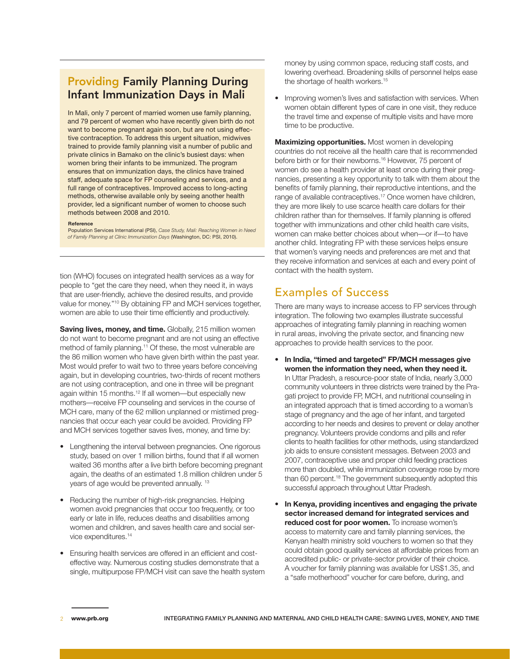# Providing Family Planning During Infant Immunization Days in Mali

In Mali, only 7 percent of married women use family planning, and 79 percent of women who have recently given birth do not want to become pregnant again soon, but are not using effective contraception. To address this urgent situation, midwives trained to provide family planning visit a number of public and private clinics in Bamako on the clinic's busiest days: when women bring their infants to be immunized. The program ensures that on immunization days, the clinics have trained staff, adequate space for FP counseling and services, and a full range of contraceptives. Improved access to long-acting methods, otherwise available only by seeing another health provider, led a significant number of women to choose such methods between 2008 and 2010.

#### **Reference**

Population Services International (PSI), *Case Study, Mali: Reaching Women in Need of Family Planning at Clinic Immunization Days* (Washington, DC: PSI, 2010).

tion (WHO) focuses on integrated health services as a way for people to "get the care they need, when they need it, in ways that are user-friendly, achieve the desired results, and provide value for money."10 By obtaining FP and MCH services together, women are able to use their time efficiently and productively.

**Saving lives, money, and time.** Globally, 215 million women do not want to become pregnant and are not using an effective method of family planning.<sup>11</sup> Of these, the most vulnerable are the 86 million women who have given birth within the past year. Most would prefer to wait two to three years before conceiving again, but in developing countries, two-thirds of recent mothers are not using contraception, and one in three will be pregnant again within 15 months.<sup>12</sup> If all women—but especially new mothers—receive FP counseling and services in the course of MCH care, many of the 62 million unplanned or mistimed pregnancies that occur each year could be avoided. Providing FP and MCH services together saves lives, money, and time by:

- Lengthening the interval between pregnancies. One rigorous study, based on over 1 million births, found that if all women waited 36 months after a live birth before becoming pregnant again, the deaths of an estimated 1.8 million children under 5 years of age would be prevented annually.<sup>13</sup>
- Reducing the number of high-risk pregnancies. Helping women avoid pregnancies that occur too frequently, or too early or late in life, reduces deaths and disabilities among women and children, and saves health care and social service expenditures.14
- Ensuring health services are offered in an efficient and costeffective way. Numerous costing studies demonstrate that a single, multipurpose FP/MCH visit can save the health system

money by using common space, reducing staff costs, and lowering overhead. Broadening skills of personnel helps ease the shortage of health workers.<sup>15</sup>

• Improving women's lives and satisfaction with services. When women obtain different types of care in one visit, they reduce the travel time and expense of multiple visits and have more time to be productive.

**Maximizing opportunities.** Most women in developing countries do not receive all the health care that is recommended before birth or for their newborns.<sup>16</sup> However, 75 percent of women do see a health provider at least once during their pregnancies, presenting a key opportunity to talk with them about the benefits of family planning, their reproductive intentions, and the range of available contraceptives.<sup>17</sup> Once women have children, they are more likely to use scarce health care dollars for their children rather than for themselves. If family planning is offered together with immunizations and other child health care visits, women can make better choices about when—or if—to have another child. Integrating FP with these services helps ensure that women's varying needs and preferences are met and that they receive information and services at each and every point of contact with the health system.

### Examples of Success

There are many ways to increase access to FP services through integration. The following two examples illustrate successful approaches of integrating family planning in reaching women in rural areas, involving the private sector, and financing new approaches to provide health services to the poor.

- **• In India, "timed and targeted" FP/MCH messages give women the information they need, when they need it.**  In Uttar Pradesh, a resource-poor state of India, nearly 3,000 community volunteers in three districts were trained by the Pragati project to provide FP, MCH, and nutritional counseling in an integrated approach that is timed according to a woman's stage of pregnancy and the age of her infant, and targeted according to her needs and desires to prevent or delay another pregnancy. Volunteers provide condoms and pills and refer clients to health facilities for other methods, using standardized job aids to ensure consistent messages. Between 2003 and 2007, contraceptive use and proper child feeding practices more than doubled, while immunization coverage rose by more than 60 percent.18 The government subsequently adopted this successful approach throughout Uttar Pradesh.
- **• In Kenya, providing incentives and engaging the private sector increased demand for integrated services and reduced cost for poor women.** To increase women's access to maternity care and family planning services, the Kenyan health ministry sold vouchers to women so that they could obtain good quality services at affordable prices from an accredited public- or private-sector provider of their choice. A voucher for family planning was available for US\$1.35, and a "safe motherhood" voucher for care before, during, and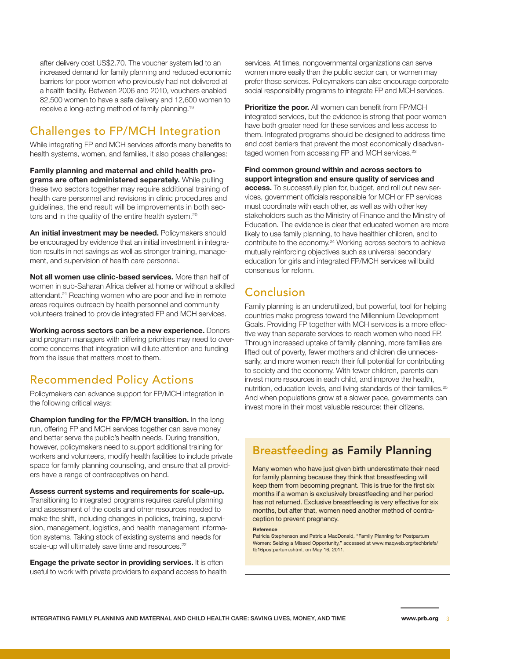after delivery cost US\$2.70. The voucher system led to an increased demand for family planning and reduced economic barriers for poor women who previously had not delivered at a health facility. Between 2006 and 2010, vouchers enabled 82,500 women to have a safe delivery and 12,600 women to receive a long-acting method of family planning.19

# Challenges to FP/MCH Integration

While integrating FP and MCH services affords many benefits to health systems, women, and families, it also poses challenges:

**Family planning and maternal and child health programs are often administered separately.** While pulling these two sectors together may require additional training of health care personnel and revisions in clinic procedures and guidelines, the end result will be improvements in both sectors and in the quality of the entire health system.<sup>20</sup>

**An initial investment may be needed.** Policymakers should be encouraged by evidence that an initial investment in integration results in net savings as well as stronger training, management, and supervision of health care personnel.

**Not all women use clinic-based services.** More than half of women in sub-Saharan Africa deliver at home or without a skilled attendant.<sup>21</sup> Reaching women who are poor and live in remote areas requires outreach by health personnel and community volunteers trained to provide integrated FP and MCH services.

**Working across sectors can be a new experience.** Donors and program managers with differing priorities may need to overcome concerns that integration will dilute attention and funding from the issue that matters most to them.

# Recommended Policy Actions

Policymakers can advance support for FP/MCH integration in the following critical ways:

**Champion funding for the FP/MCH transition.** In the long run, offering FP and MCH services together can save money and better serve the public's health needs. During transition, however, policymakers need to support additional training for workers and volunteers, modify health facilities to include private space for family planning counseling, and ensure that all providers have a range of contraceptives on hand.

#### **Assess current systems and requirements for scale-up.**

Transitioning to integrated programs requires careful planning and assessment of the costs and other resources needed to make the shift, including changes in policies, training, supervision, management, logistics, and health management information systems. Taking stock of existing systems and needs for scale-up will ultimately save time and resources.<sup>22</sup>

**Engage the private sector in providing services.** It is often useful to work with private providers to expand access to health

services. At times, nongovernmental organizations can serve women more easily than the public sector can, or women may prefer these services. Policymakers can also encourage corporate social responsibility programs to integrate FP and MCH services.

**Prioritize the poor.** All women can benefit from FP/MCH integrated services, but the evidence is strong that poor women have both greater need for these services and less access to them. Integrated programs should be designed to address time and cost barriers that prevent the most economically disadvantaged women from accessing FP and MCH services.<sup>23</sup>

#### **Find common ground within and across sectors to support integration and ensure quality of services and**

**access.** To successfully plan for, budget, and roll out new services, government officials responsible for MCH or FP services must coordinate with each other, as well as with other key stakeholders such as the Ministry of Finance and the Ministry of Education. The evidence is clear that educated women are more likely to use family planning, to have healthier children, and to contribute to the economy.24 Working across sectors to achieve mutually reinforcing objectives such as universal secondary education for girls and integrated FP/MCH services will build consensus for reform.

# Conclusion

Family planning is an underutilized, but powerful, tool for helping countries make progress toward the Millennium Development Goals. Providing FP together with MCH services is a more effective way than separate services to reach women who need FP. Through increased uptake of family planning, more families are lifted out of poverty, fewer mothers and children die unnecessarily, and more women reach their full potential for contributing to society and the economy. With fewer children, parents can invest more resources in each child, and improve the health, nutrition, education levels, and living standards of their families.25 And when populations grow at a slower pace, governments can invest more in their most valuable resource: their citizens.

# Breastfeeding as Family Planning

Many women who have just given birth underestimate their need for family planning because they think that breastfeeding will keep them from becoming pregnant. This is true for the first six months if a woman is exclusively breastfeeding and her period has not returned. Exclusive breastfeeding is very effective for six months, but after that, women need another method of contraception to prevent pregnancy.

#### **Reference**

Patricia Stephenson and Patricia MacDonald, "Family Planning for Postpartum Women: Seizing a Missed Opportunity," accessed at www.maqweb.org/techbriefs/ tb16postpartum.shtml, on May 16, 2011.